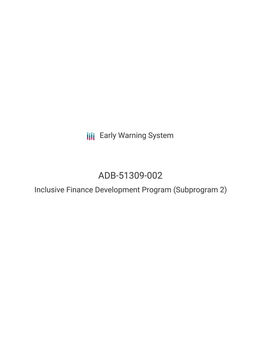**III** Early Warning System

# ADB-51309-002

Inclusive Finance Development Program (Subprogram 2)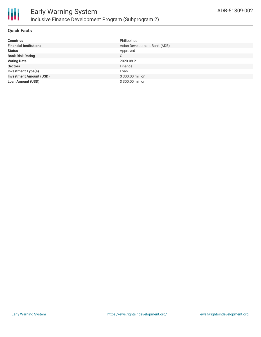

## **Quick Facts**

| <b>Countries</b>               | Philippines                  |
|--------------------------------|------------------------------|
| <b>Financial Institutions</b>  | Asian Development Bank (ADB) |
| <b>Status</b>                  | Approved                     |
| <b>Bank Risk Rating</b>        | C                            |
| <b>Voting Date</b>             | 2020-08-21                   |
| <b>Sectors</b>                 | Finance                      |
| <b>Investment Type(s)</b>      | Loan                         |
| <b>Investment Amount (USD)</b> | \$300.00 million             |
| <b>Loan Amount (USD)</b>       | \$300.00 million             |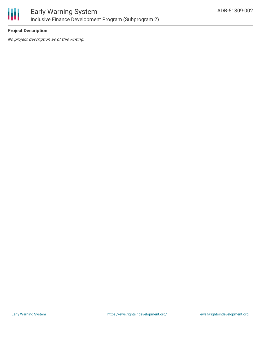

## **Project Description**

No project description as of this writing.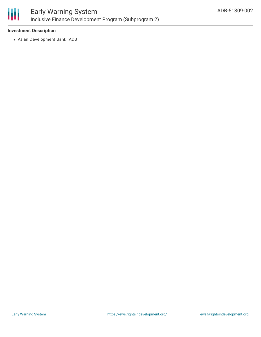

## **Investment Description**

Asian Development Bank (ADB)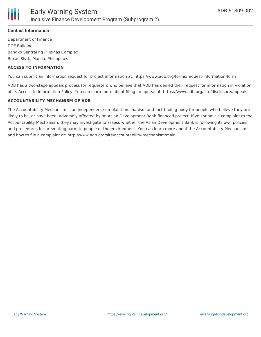

# **Contact Information**

Department of Finance DOF Building Bangko Sentral ng Pilipinas Complex Roxas Blvd., Manila, Philippines

## **ACCESS TO INFORMATION**

You can submit an information request for project information at: https://www.adb.org/forms/request-information-form

ADB has a two-stage appeals process for requesters who believe that ADB has denied their request for information in violation of its Access to Information Policy. You can learn more about filing an appeal at: https://www.adb.org/site/disclosure/appeals

## **ACCOUNTABILITY MECHANISM OF ADB**

The Accountability Mechanism is an independent complaint mechanism and fact-finding body for people who believe they are likely to be, or have been, adversely affected by an Asian Development Bank-financed project. If you submit a complaint to the Accountability Mechanism, they may investigate to assess whether the Asian Development Bank is following its own policies and procedures for preventing harm to people or the environment. You can learn more about the Accountability Mechanism and how to file a complaint at: http://www.adb.org/site/accountability-mechanism/main.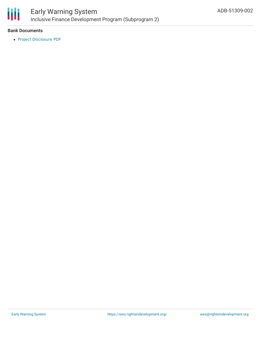

## **Bank Documents**

Project [Disclosure](https://www.adb.org/printpdf/projects/51309-002/main) PDF